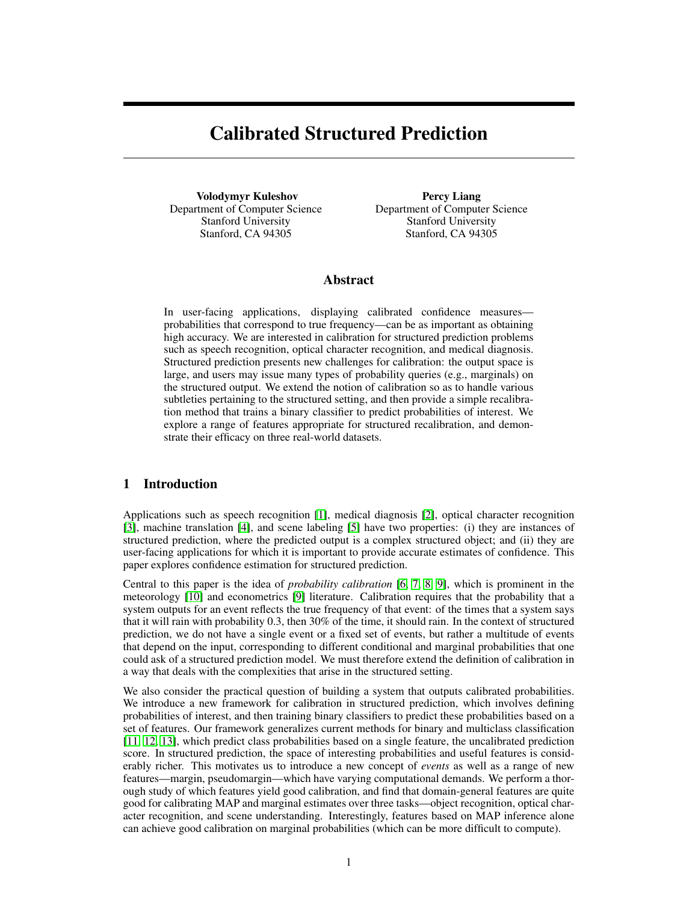# Calibrated Structured Prediction

Volodymyr Kuleshov Department of Computer Science Stanford University Stanford, CA 94305

Percy Liang Department of Computer Science Stanford University Stanford, CA 94305

## Abstract

In user-facing applications, displaying calibrated confidence measures probabilities that correspond to true frequency—can be as important as obtaining high accuracy. We are interested in calibration for structured prediction problems such as speech recognition, optical character recognition, and medical diagnosis. Structured prediction presents new challenges for calibration: the output space is large, and users may issue many types of probability queries (e.g., marginals) on the structured output. We extend the notion of calibration so as to handle various subtleties pertaining to the structured setting, and then provide a simple recalibration method that trains a binary classifier to predict probabilities of interest. We explore a range of features appropriate for structured recalibration, and demonstrate their efficacy on three real-world datasets.

# 1 Introduction

Applications such as speech recognition [1], medical diagnosis [2], optical character recognition [3], machine translation [4], and scene labeling [5] have two properties: (i) they are instances of structured prediction, where the predicted output is a complex structured object; and (ii) they are user-facing applications for which it is important to provide accurate estimates of confidence. This paper explores confidence estimation for structured prediction.

Central to this paper is the idea of *probability calibration* [6, 7, 8, 9], which is prominent in the meteorology [10] and econometrics [9] literature. Calibration requires that the probability that a system outputs for an event reflects the true frequency of that event: of the times that a system says that it will rain with probability 0.3, then 30% of the time, it should rain. In the context of structured prediction, we do not have a single event or a fixed set of events, but rather a multitude of events that depend on the input, corresponding to different conditional and marginal probabilities that one could ask of a structured prediction model. We must therefore extend the definition of calibration in a way that deals with the complexities that arise in the structured setting.

We also consider the practical question of building a system that outputs calibrated probabilities. We introduce a new framework for calibration in structured prediction, which involves defining probabilities of interest, and then training binary classifiers to predict these probabilities based on a set of features. Our framework generalizes current methods for binary and multiclass classification [11, 12, 13], which predict class probabilities based on a single feature, the uncalibrated prediction score. In structured prediction, the space of interesting probabilities and useful features is considerably richer. This motivates us to introduce a new concept of *events* as well as a range of new features—margin, pseudomargin—which have varying computational demands. We perform a thorough study of which features yield good calibration, and find that domain-general features are quite good for calibrating MAP and marginal estimates over three tasks—object recognition, optical character recognition, and scene understanding. Interestingly, features based on MAP inference alone can achieve good calibration on marginal probabilities (which can be more difficult to compute).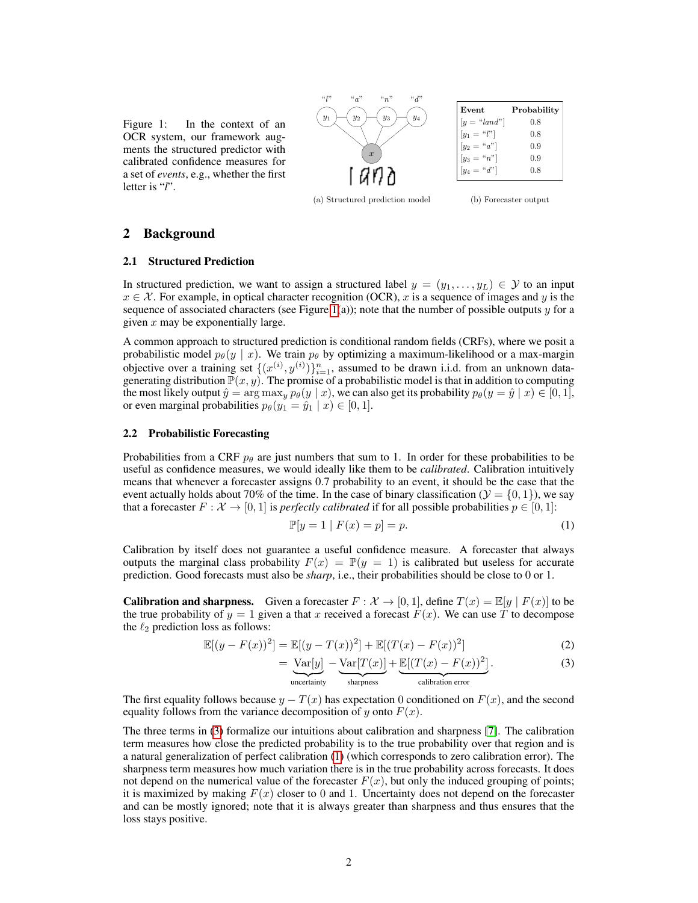



| Event          | Probability |
|----------------|-------------|
| $[y = "land"]$ | 0.8         |
| $[y_1 = "l"]$  | 0.8         |
| $[y_2 = "a"]$  | 0.9         |
| $[y_3 = "n"]$  | 0.9         |
| $[y_4 = "d"]$  | 0.8         |
|                |             |

(a) Structured prediction model (b) Forecaster output

#### 2 Background

#### 2.1 Structured Prediction

In structured prediction, we want to assign a structured label  $y = (y_1, \ldots, y_L) \in \mathcal{Y}$  to an input  $x \in \mathcal{X}$ . For example, in optical character recognition (OCR), x is a sequence of images and y is the sequence of associated characters (see Figure 1(a)); note that the number of possible outputs  $y$  for a given  $x$  may be exponentially large.

A common approach to structured prediction is conditional random fields (CRFs), where we posit a probabilistic model  $p_{\theta}(y \mid x)$ . We train  $p_{\theta}$  by optimizing a maximum-likelihood or a max-margin objective over a training set  $\{(x^{(i)}, y^{(i)})\}_{i=1}^n$ , assumed to be drawn i.i.d. from an unknown datagenerating distribution  $\mathbb{P}(x, y)$ . The promise of a probabilistic model is that in addition to computing the most likely output  $\hat{y} = \arg \max_{y} p_{\theta}(y | x)$ , we can also get its probability  $p_{\theta}(y = \hat{y} | x) \in [0, 1]$ , or even marginal probabilities  $p_{\theta}(y_1 = \hat{y}_1 | x) \in [0, 1].$ 

#### 2.2 Probabilistic Forecasting

Probabilities from a CRF  $p_\theta$  are just numbers that sum to 1. In order for these probabilities to be useful as confidence measures, we would ideally like them to be *calibrated*. Calibration intuitively means that whenever a forecaster assigns 0.7 probability to an event, it should be the case that the event actually holds about 70% of the time. In the case of binary classification ( $\mathcal{Y} = \{0, 1\}$ ), we say that a forecaster  $F : \mathcal{X} \to [0, 1]$  is *perfectly calibrated* if for all possible probabilities  $p \in [0, 1]$ :

$$
\mathbb{P}[y=1 \mid F(x) = p] = p. \tag{1}
$$

Calibration by itself does not guarantee a useful confidence measure. A forecaster that always outputs the marginal class probability  $F(x) = \mathbb{P}(y = 1)$  is calibrated but useless for accurate prediction. Good forecasts must also be *sharp*, i.e., their probabilities should be close to 0 or 1.

**Calibration and sharpness.** Given a forecaster  $F : \mathcal{X} \to [0, 1]$ , define  $T(x) = \mathbb{E}[y | F(x)]$  to be the true probability of  $y = 1$  given a that x received a forecast  $F(x)$ . We can use T to decompose the  $\ell_2$  prediction loss as follows:

$$
\mathbb{E}[(y - F(x))^2] = \mathbb{E}[(y - T(x))^2] + \mathbb{E}[(T(x) - F(x))^2]
$$
\n(2)

$$
= \underbrace{\text{Var}[y]}_{\cdot} - \underbrace{\text{Var}[T(x)]}_{\cdot} + \underbrace{\mathbb{E}[(T(x) - F(x))^2]}_{\cdot}.
$$
 (3)

| {z } uncertainty | {z } sharpness | {z } calibration error

The first equality follows because  $y - T(x)$  has expectation 0 conditioned on  $F(x)$ , and the second equality follows from the variance decomposition of y onto  $F(x)$ .

The three terms in (3) formalize our intuitions about calibration and sharpness [7]. The calibration term measures how close the predicted probability is to the true probability over that region and is a natural generalization of perfect calibration (1) (which corresponds to zero calibration error). The sharpness term measures how much variation there is in the true probability across forecasts. It does not depend on the numerical value of the forecaster  $F(x)$ , but only the induced grouping of points; it is maximized by making  $F(x)$  closer to 0 and 1. Uncertainty does not depend on the forecaster and can be mostly ignored; note that it is always greater than sharpness and thus ensures that the loss stays positive.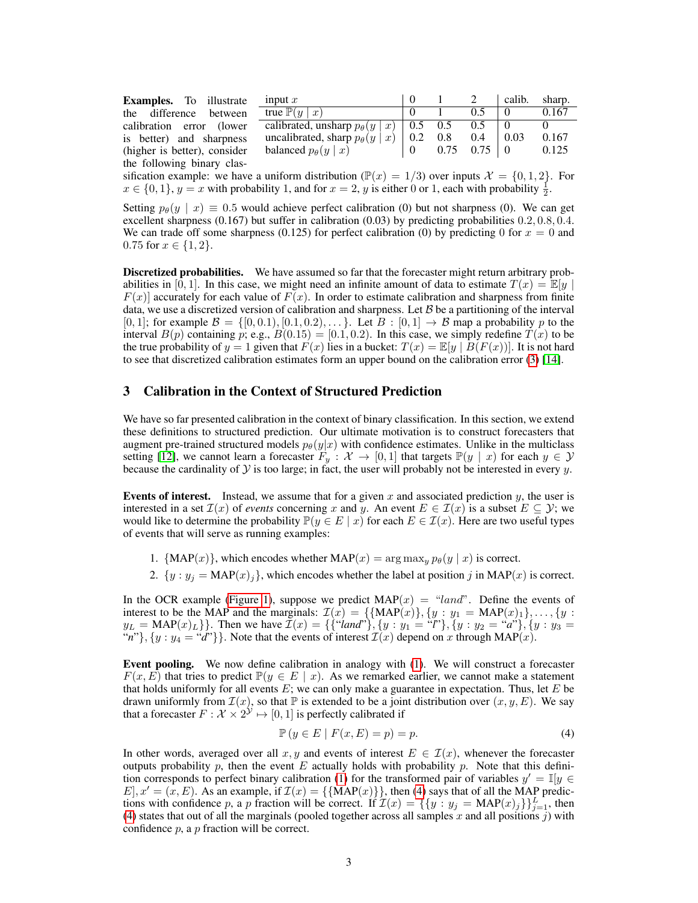Examples. To illustrate the difference between calibration error (lower is better) and sharpness (higher is better), consider the following binary clas-

| input $x$                                |     |     |                   | calib. | sharp. |
|------------------------------------------|-----|-----|-------------------|--------|--------|
| true $\mathbb{P}(y)$<br>$\boldsymbol{x}$ |     |     | 05                |        | 0.167  |
| calibrated, unsharp $p_{\theta}(y   x)$  | 0.5 | 0.5 | 0.5               |        |        |
| uncalibrated, sharp $p_{\theta}(y   x)$  | 0.2 | 0.8 | 0.4               |        | 0.167  |
| balanced $p_{\theta}(y \mid x)$          |     |     | $0.75 \quad 0.75$ |        | 0.125  |
|                                          |     |     |                   |        |        |

sification example: we have a uniform distribution ( $\mathbb{P}(x) = 1/3$ ) over inputs  $\mathcal{X} = \{0, 1, 2\}$ . For  $x \in \{0, 1\}, y = x$  with probability 1, and for  $x = 2$ , y is either 0 or 1, each with probability  $\frac{1}{2}$ .

Setting  $p_{\theta}(y \mid x) \equiv 0.5$  would achieve perfect calibration (0) but not sharpness (0). We can get excellent sharpness (0.167) but suffer in calibration (0.03) by predicting probabilities 0.2, 0.8, 0.4. We can trade off some sharpness (0.125) for perfect calibration (0) by predicting 0 for  $x = 0$  and 0.75 for  $x \in \{1, 2\}$ .

Discretized probabilities. We have assumed so far that the forecaster might return arbitrary probabilities in [0, 1]. In this case, we might need an infinite amount of data to estimate  $T(x) = \mathbb{E}[y]$  $F(x)$  accurately for each value of  $F(x)$ . In order to estimate calibration and sharpness from finite data, we use a discretized version of calibration and sharpness. Let  $\beta$  be a partitioning of the interval  $[0, 1]$ ; for example  $\mathcal{B} = \{[0, 0.1), [0.1, 0.2), \ldots\}$ . Let  $B : [0, 1] \rightarrow \mathcal{B}$  map a probability p to the interval  $B(p)$  containing p; e.g.,  $B(0.15) = [0.1, 0.2)$ . In this case, we simply redefine  $T(x)$  to be the true probability of  $y = 1$  given that  $F(x)$  lies in a bucket:  $T(x) = \mathbb{E}[y | B(F(x))]$ . It is not hard to see that discretized calibration estimates form an upper bound on the calibration error (3) [14].

## 3 Calibration in the Context of Structured Prediction

We have so far presented calibration in the context of binary classification. In this section, we extend these definitions to structured prediction. Our ultimate motivation is to construct forecasters that augment pre-trained structured models  $p_{\theta}(y|x)$  with confidence estimates. Unlike in the multiclass setting [12], we cannot learn a forecaster  $F_y : \mathcal{X} \to [0,1]$  that targets  $\mathbb{P}(y \mid x)$  for each  $y \in \mathcal{Y}$ because the cardinality of  $Y$  is too large; in fact, the user will probably not be interested in every  $y$ .

Events of interest. Instead, we assume that for a given x and associated prediction y, the user is interested in a set  $\mathcal{I}(x)$  of *events* concerning x and y. An event  $E \in \mathcal{I}(x)$  is a subset  $E \subseteq \mathcal{Y}$ ; we would like to determine the probability  $\mathbb{P}(y \in E \mid x)$  for each  $E \in \mathcal{I}(x)$ . Here are two useful types of events that will serve as running examples:

- 1. {MAP(x)}, which encodes whether MAP(x) =  $\arg \max_{y} p_{\theta}(y | x)$  is correct.
- 2.  $\{y : y_j = \text{MAP}(x)_j\}$ , which encodes whether the label at position j in  $\text{MAP}(x)$  is correct.

In the OCR example (Figure 1), suppose we predict  $MAP(x) = "land"$ . Define the events of interest to be the MAP and the marginals:  $\mathcal{I}(x) = \{ \{ \text{MAP}(x) \}, \{ y : y_1 = \text{MAP}(x)_1 \}, \dots, \{ y : y_n \}$  $y_L = \text{MAP}(x)_L$ }. Then we have  $\mathcal{I}(x) = \{ \{``land''\}, \{y : y_1 = ``l''\}, \{y : y_2 = ``a''\}, \{y : y_3 = ''\}$ "*n*"},  $\{y : y_4 = "d" \}$ . Note that the events of interest  $\mathcal{I}(x)$  depend on x through MAP(x).

Event pooling. We now define calibration in analogy with (1). We will construct a forecaster  $F(x, E)$  that tries to predict  $\mathbb{P}(y \in E \mid x)$ . As we remarked earlier, we cannot make a statement that holds uniformly for all events  $E$ ; we can only make a guarantee in expectation. Thus, let  $E$  be drawn uniformly from  $\mathcal{I}(x)$ , so that  $\mathbb P$  is extended to be a joint distribution over  $(x, y, E)$ . We say that a forecaster  $F: \mathcal{X} \times 2^{\mathcal{Y}} \mapsto [0, 1]$  is perfectly calibrated if

$$
\mathbb{P}\left(y \in E \mid F(x, E) = p\right) = p. \tag{4}
$$

In other words, averaged over all x, y and events of interest  $E \in \mathcal{I}(x)$ , whenever the forecaster outputs probability p, then the event E actually holds with probability p. Note that this definition corresponds to perfect binary calibration (1) for the transformed pair of variables  $y' = \mathbb{I}[y \in$  $E$ ,  $x' = (x, E)$ . As an example, if  $\mathcal{I}(x) = {\text{MAP}(x)}$ , then (4) says that of all the MAP predictions with confidence p, a p fraction will be correct. If  $\mathcal{I}(x) = \{\{y : y_j = \text{MAP}(x)_j\}\}_{j=1}^L$ , then (4) states that out of all the marginals (pooled together across all samples x and all positions j) with confidence  $p$ , a  $p$  fraction will be correct.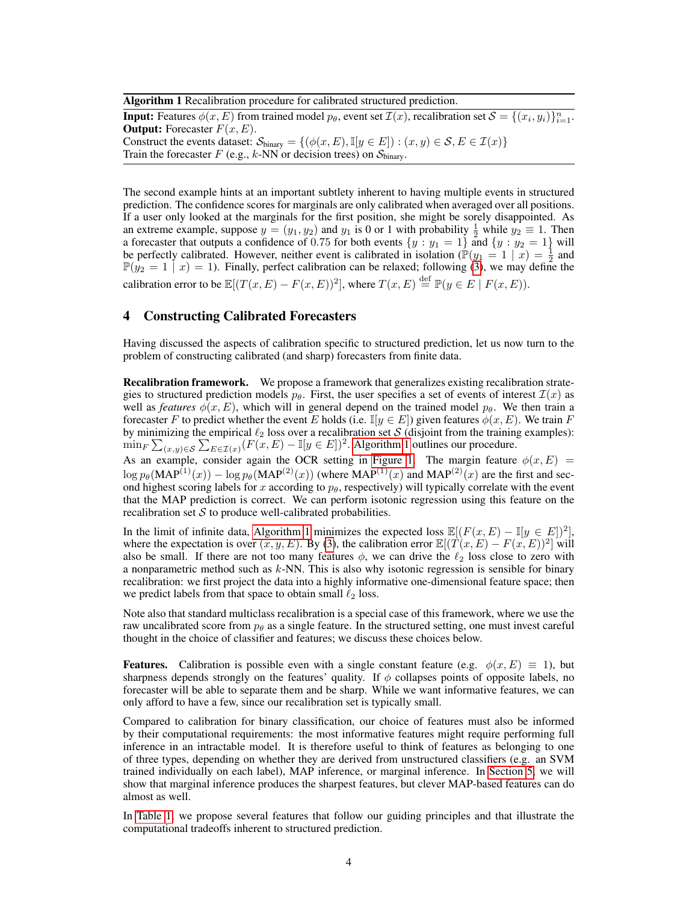Algorithm 1 Recalibration procedure for calibrated structured prediction.

**Input:** Features  $\phi(x, E)$  from trained model  $p_{\theta}$ , event set  $\mathcal{I}(x)$ , recalibration set  $\mathcal{S} = \{(x_i, y_i)\}_{i=1}^n$ . **Output:** Forecaster  $F(x, E)$ . Construct the events dataset:  $\mathcal{S}_{\text{binary}} = \{(\phi(x, E), \mathbb{I}[y \in E]) : (x, y) \in \mathcal{S}, E \in \mathcal{I}(x)\}\$ Train the forecaster  $F$  (e.g., k-NN or decision trees) on  $S_{\text{binary}}$ .

The second example hints at an important subtlety inherent to having multiple events in structured prediction. The confidence scores for marginals are only calibrated when averaged over all positions. If a user only looked at the marginals for the first position, she might be sorely disappointed. As an extreme example, suppose  $y = (y_1, y_2)$  and  $y_1$  is 0 or 1 with probability  $\frac{1}{2}$  while  $y_2 \equiv 1$ . Then a forecaster that outputs a confidence of 0.75 for both events  $\{y : y_1 = 1\}$  and  $\{y : y_2 = 1\}$  will be perfectly calibrated. However, neither event is calibrated in isolation ( $\mathbb{P}(y_1 = 1 \mid x) = \frac{1}{2}$  and  $\mathbb{P}(y_2 = 1 \mid x) = 1$ ). Finally, perfect calibration can be relaxed; following (3), we may define the calibration error to be  $\mathbb{E}[(T(x, E) - F(x, E))^2]$ , where  $T(x, E) \stackrel{\text{def}}{=} \mathbb{P}(y \in E \mid F(x, E)).$ 

## 4 Constructing Calibrated Forecasters

Having discussed the aspects of calibration specific to structured prediction, let us now turn to the problem of constructing calibrated (and sharp) forecasters from finite data.

Recalibration framework. We propose a framework that generalizes existing recalibration strategies to structured prediction models  $p_{\theta}$ . First, the user specifies a set of events of interest  $\mathcal{I}(x)$  as well as *features*  $\phi(x, E)$ , which will in general depend on the trained model  $p_\theta$ . We then train a forecaster F to predict whether the event E holds (i.e.  $\mathbb{I}[y \in E]$ ) given features  $\phi(x, E)$ . We train F by minimizing the empirical  $\ell_2$  loss over a recalibration set S (disjoint from the training examples):  $\min_F \sum_{(x,y)\in\mathcal{S}} \sum_{E\in\mathcal{I}(x)} (F(x,E)-\mathbb{I}[y\in E])^2$ . Algorithm 1 outlines our procedure.

As an example, consider again the OCR setting in Figure 1. The margin feature  $\phi(x, E)$  =  $\log p_\theta(\text{MAP}^{(1)}(x)) - \log p_\theta(\text{MAP}^{(2)}(x))$  (where  $\text{MAP}^{(1)}(x)$  and  $\text{MAP}^{(2)}(x)$  are the first and second highest scoring labels for x according to  $p_{\theta}$ , respectively) will typically correlate with the event that the MAP prediction is correct. We can perform isotonic regression using this feature on the recalibration set  $S$  to produce well-calibrated probabilities.

In the limit of infinite data, Algorithm 1 minimizes the expected loss  $\mathbb{E}[(F(x, E) - \mathbb{I}[y \in E])^2]$ , where the expectation is over  $(x, y, E)$ . By (3), the calibration error  $\mathbb{E}[(T(x, E) - F(x, E))^2]$  will also be small. If there are not too many features  $\phi$ , we can drive the  $\ell_2$  loss close to zero with a nonparametric method such as  $k$ -NN. This is also why isotonic regression is sensible for binary recalibration: we first project the data into a highly informative one-dimensional feature space; then we predict labels from that space to obtain small  $\ell_2$  loss.

Note also that standard multiclass recalibration is a special case of this framework, where we use the raw uncalibrated score from  $p_\theta$  as a single feature. In the structured setting, one must invest careful thought in the choice of classifier and features; we discuss these choices below.

**Features.** Calibration is possible even with a single constant feature (e.g.  $\phi(x, E) \equiv 1$ ), but sharpness depends strongly on the features' quality. If  $\phi$  collapses points of opposite labels, no forecaster will be able to separate them and be sharp. While we want informative features, we can only afford to have a few, since our recalibration set is typically small.

Compared to calibration for binary classification, our choice of features must also be informed by their computational requirements: the most informative features might require performing full inference in an intractable model. It is therefore useful to think of features as belonging to one of three types, depending on whether they are derived from unstructured classifiers (e.g. an SVM trained individually on each label), MAP inference, or marginal inference. In Section 5, we will show that marginal inference produces the sharpest features, but clever MAP-based features can do almost as well.

In Table 1, we propose several features that follow our guiding principles and that illustrate the computational tradeoffs inherent to structured prediction.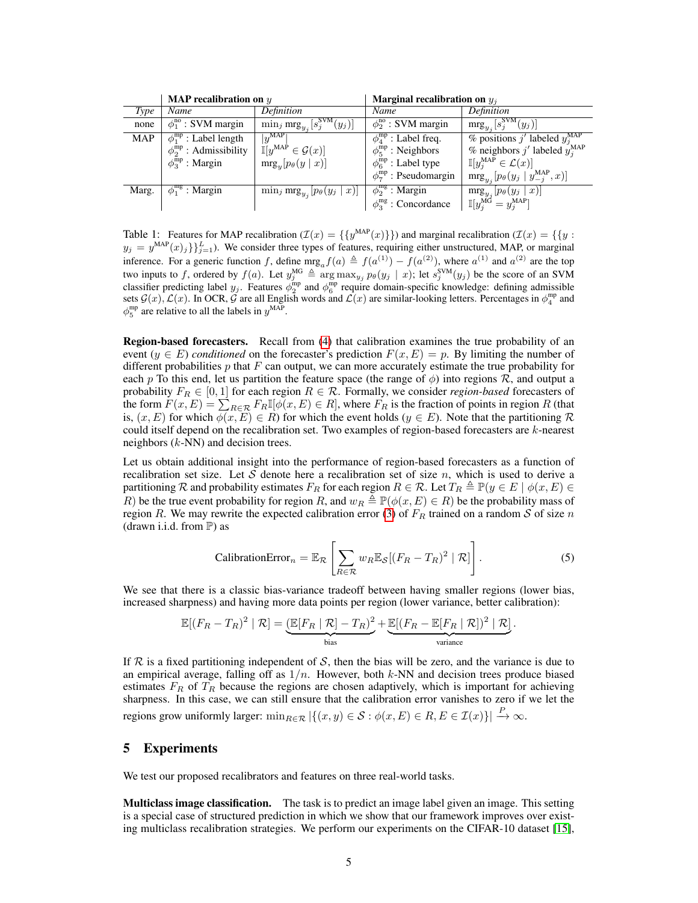|            | <b>MAP</b> recalibration on $y$      |                                                  | Marginal recalibration on $y_i$    |                                                                                                                                       |  |
|------------|--------------------------------------|--------------------------------------------------|------------------------------------|---------------------------------------------------------------------------------------------------------------------------------------|--|
| Type       | Name                                 | Definition                                       | Name                               | Definition                                                                                                                            |  |
| none       | $\phi_1^{\text{no}}$ : SVM margin    | $\min_j \text{mrg}_{y_j}[s_j^{\text{SVM}}(y_j)]$ | $\phi_2^{\text{no}}$ : SVM margin  | $\text{mrg}_{y_j}[s_j^{\text{SVM}}(y_j)]$                                                                                             |  |
| <b>MAP</b> | $\phi_1^{\text{mp}}$ : Label length  | $ y^{\text{MAP}} $                               | $\phi_A^{mp}$ : Label freq.        | % positions $j^{\prime}$ labeled $y_j^{\text{MAP}}$                                                                                   |  |
|            | $\phi_2^{\text{mp}}$ : Admissibility | $\mathbb{I}[y^{\text{MAP}} \in \mathcal{G}(x)]$  | $\phi_5^{\text{mp}}$ : Neighbors   | % neighbors $j'$ labeled $y_j^{\text{MAP}}$                                                                                           |  |
|            | $\phi_3^{\rm mp}$ : Margin           | $\text{mrg}_y[p_\theta(y \mid x)]$               | $\phi_6^{\text{mp}}$ : Label type  | $\mathbb{I}[y_j^{\text{MAP}} \in \mathcal{L}(x)]$                                                                                     |  |
|            |                                      |                                                  | $\phi_7^{\rm mp}$ : Pseudomargin   | $\text{mrg}_{y_j}[p_{\theta}(y_j \mid y_{-j}^{\text{MAP}}, x)]$                                                                       |  |
| Marg.      | $\phi_1^{\text{mg}}$ : Margin        | $\min_j \text{mrg}_{y_j}[p_\theta(y_j \mid x)]$  | $\phi_2^{\text{mg}}$ : Margin      |                                                                                                                                       |  |
|            |                                      |                                                  | $\phi_3^{\text{mg}}$ : Concordance | $\begin{aligned} & \text{mrg}_{y_j}\left[p_\theta(y_j \mid x)\right] \ \mathbb{I}[y_j^{\text{MG}} &= y_j^{\text{MAP}}] \end{aligned}$ |  |

Table 1: Features for MAP recalibration  $(\mathcal{I}(x) = \{\{y^{MAP}(x)\}\})$  and marginal recalibration  $(\mathcal{I}(x) = \{\{y : X\} \})$  $y_j = y^{\text{MAP}}(x)_j\}_{j=1}^L$ ). We consider three types of features, requiring either unstructured, MAP, or marginal inference. For a generic function f, define  $\text{mrg}_a f(a) \triangleq f(a^{(1)}) - f(a^{(2)})$ , where  $a^{(1)}$  and  $a^{(2)}$  are the top two inputs to f, ordered by  $f(a)$ . Let  $y_j^{\text{MG}} \triangleq \arg \max_{y_j} p_\theta(y_j | x)$ ; let  $s_j^{\text{SVM}}(y_j)$  be the score of an SVM classifier predicting label  $y_j$ . Features  $\phi_2^{\text{mp}}$  and  $\phi_6^{\text{mp}}$  require domain-specific knowledge: defining admissible sets  $G(x)$ ,  $\mathcal{L}(x)$ . In OCR,  $\mathcal{G}$  are all English words and  $\mathcal{L}(x)$  are similar-looking letters. Percentages in  $\phi_4^{mp}$  and  $\phi_5^{\text{mp}}$  are relative to all the labels in  $y^{\text{MAP}}$ .

Region-based forecasters. Recall from (4) that calibration examines the true probability of an event  $(y \in E)$  *conditioned* on the forecaster's prediction  $F(x, E) = p$ . By limiting the number of different probabilities p that  $F$  can output, we can more accurately estimate the true probability for each p To this end, let us partition the feature space (the range of  $\phi$ ) into regions R, and output a probability  $F_R \in [0, 1]$  for each region  $R \in \mathcal{R}$ . Formally, we consider *region-based* forecasters of the form  $F(x, E) = \sum_{R \in \mathcal{R}} F_R \mathbb{I}[\phi(x, E) \in R]$ , where  $F_R$  is the fraction of points in region R (that is,  $(x, E)$  for which  $\phi(x, E) \in R$ ) for which the event holds  $(y \in E)$ . Note that the partitioning R could itself depend on the recalibration set. Two examples of region-based forecasters are  $k$ -nearest neighbors  $(k-NN)$  and decision trees.

Let us obtain additional insight into the performance of region-based forecasters as a function of recalibration set size. Let S denote here a recalibration set of size n, which is used to derive a partitioning R and probability estimates  $F_R$  for each region  $R \in \mathcal{R}$ . Let  $T_R \triangleq \mathbb{P}(y \in E \mid \phi(x, E) \in$ R) be the true event probability for region R, and  $w_R \triangleq \mathbb{P}(\phi(x, E) \in R)$  be the probability mass of region R. We may rewrite the expected calibration error (3) of  $F_R$  trained on a random S of size n (drawn i.i.d. from  $\mathbb{P}$ ) as

$$
\text{CalibrationError}_n = \mathbb{E}_{\mathcal{R}} \left[ \sum_{R \in \mathcal{R}} w_R \mathbb{E}_{\mathcal{S}} [(F_R - T_R)^2 \mid \mathcal{R}] \right]. \tag{5}
$$

.

We see that there is a classic bias-variance tradeoff between having smaller regions (lower bias, increased sharpness) and having more data points per region (lower variance, better calibration):

$$
\mathbb{E}[(F_R - T_R)^2 | \mathcal{R}] = \underbrace{\left(\mathbb{E}[F_R | \mathcal{R}] - T_R\right)^2}_{\text{bias}} + \underbrace{\mathbb{E}[(F_R - \mathbb{E}[F_R | \mathcal{R}])^2 | \mathcal{R}]}_{\text{variance}}
$$

If R is a fixed partitioning independent of S, then the bias will be zero, and the variance is due to an empirical average, falling off as  $1/n$ . However, both k-NN and decision trees produce biased estimates  $F_R$  of  $T_R$  because the regions are chosen adaptively, which is important for achieving sharpness. In this case, we can still ensure that the calibration error vanishes to zero if we let the regions grow uniformly larger:  $\min_{R \in \mathcal{R}} |\{(x, y) \in \mathcal{S} : \phi(x, E) \in R, E \in \mathcal{I}(x)\}| \stackrel{P}{\to} \infty$ .

### 5 Experiments

We test our proposed recalibrators and features on three real-world tasks.

**Multiclass image classification.** The task is to predict an image label given an image. This setting is a special case of structured prediction in which we show that our framework improves over existing multiclass recalibration strategies. We perform our experiments on the CIFAR-10 dataset [15],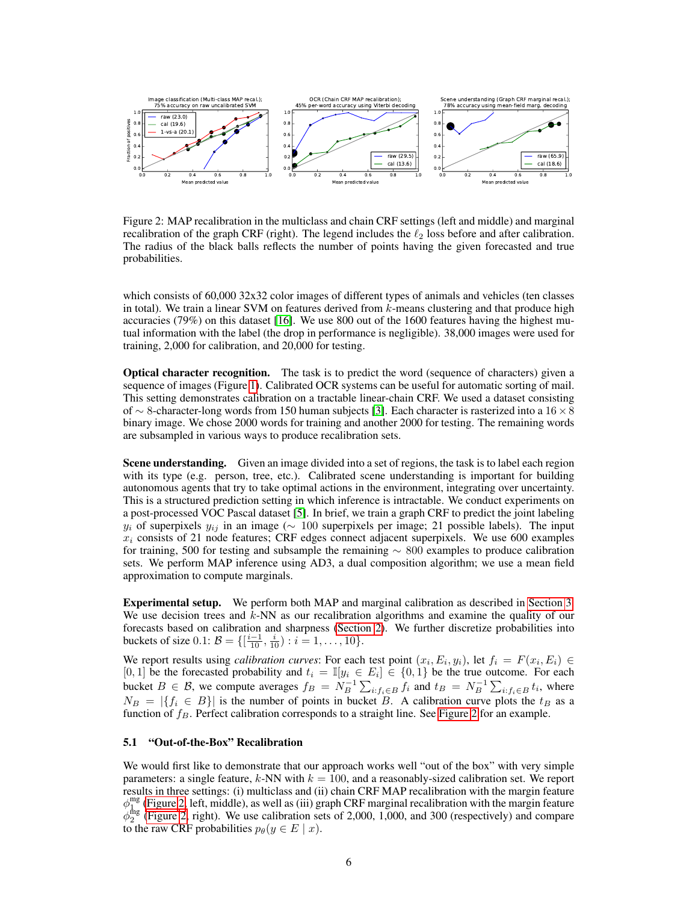

Figure 2: MAP recalibration in the multiclass and chain CRF settings (left and middle) and marginal recalibration of the graph CRF (right). The legend includes the  $\ell_2$  loss before and after calibration. The radius of the black balls reflects the number of points having the given forecasted and true probabilities.

which consists of 60,000 32x32 color images of different types of animals and vehicles (ten classes in total). We train a linear SVM on features derived from  $k$ -means clustering and that produce high accuracies (79%) on this dataset [16]. We use 800 out of the 1600 features having the highest mutual information with the label (the drop in performance is negligible). 38,000 images were used for training, 2,000 for calibration, and 20,000 for testing.

Optical character recognition. The task is to predict the word (sequence of characters) given a sequence of images (Figure 1). Calibrated OCR systems can be useful for automatic sorting of mail. This setting demonstrates calibration on a tractable linear-chain CRF. We used a dataset consisting of ∼ 8-character-long words from 150 human subjects [3]. Each character is rasterized into a 16×8 binary image. We chose 2000 words for training and another 2000 for testing. The remaining words are subsampled in various ways to produce recalibration sets.

Scene understanding. Given an image divided into a set of regions, the task is to label each region with its type (e.g. person, tree, etc.). Calibrated scene understanding is important for building autonomous agents that try to take optimal actions in the environment, integrating over uncertainty. This is a structured prediction setting in which inference is intractable. We conduct experiments on a post-processed VOC Pascal dataset [5]. In brief, we train a graph CRF to predict the joint labeling  $y_i$  of superpixels  $y_{ij}$  in an image ( $\sim 100$  superpixels per image; 21 possible labels). The input  $x_i$  consists of 21 node features; CRF edges connect adjacent superpixels. We use 600 examples for training, 500 for testing and subsample the remaining  $~\sim~800$  examples to produce calibration sets. We perform MAP inference using AD3, a dual composition algorithm; we use a mean field approximation to compute marginals.

Experimental setup. We perform both MAP and marginal calibration as described in Section 3. We use decision trees and  $k$ -NN as our recalibration algorithms and examine the quality of our forecasts based on calibration and sharpness (Section 2). We further discretize probabilities into buckets of size  $0.1: \mathcal{B} = \{[\frac{i-1}{10}, \frac{i}{10}) : i = 1, \ldots, 10\}.$ 

We report results using *calibration curves*: For each test point  $(x_i, E_i, y_i)$ , let  $f_i = F(x_i, E_i) \in$ [0, 1] be the forecasted probability and  $t_i = \mathbb{I}[y_i \in E_i] \in \{0,1\}$  be the true outcome. For each bucket  $B \in \mathcal{B}$ , we compute averages  $f_B = N_B^{-1} \sum_{i: f_i \in B} f_i$  and  $t_B = N_B^{-1} \sum_{i: f_i \in B} t_i$ , where  $N_B = |\{f_i \in B\}|$  is the number of points in bucket B. A calibration curve plots the  $t_B$  as a function of  $f_B$ . Perfect calibration corresponds to a straight line. See Figure 2 for an example.

#### 5.1 "Out-of-the-Box" Recalibration

We would first like to demonstrate that our approach works well "out of the box" with very simple parameters: a single feature,  $k$ -NN with  $k = 100$ , and a reasonably-sized calibration set. We report results in three settings: (i) multiclass and (ii) chain CRF MAP recalibration with the margin feature  $\phi_{1}^{mg}$  (Figure 2, left, middle), as well as (iii) graph CRF marginal recalibration with the margin feature  $\phi_2^{\text{flag}}$  (Figure 2, right). We use calibration sets of 2,000, 1,000, and 300 (respectively) and compare to the raw CRF probabilities  $p_{\theta}(y \in E \mid x)$ .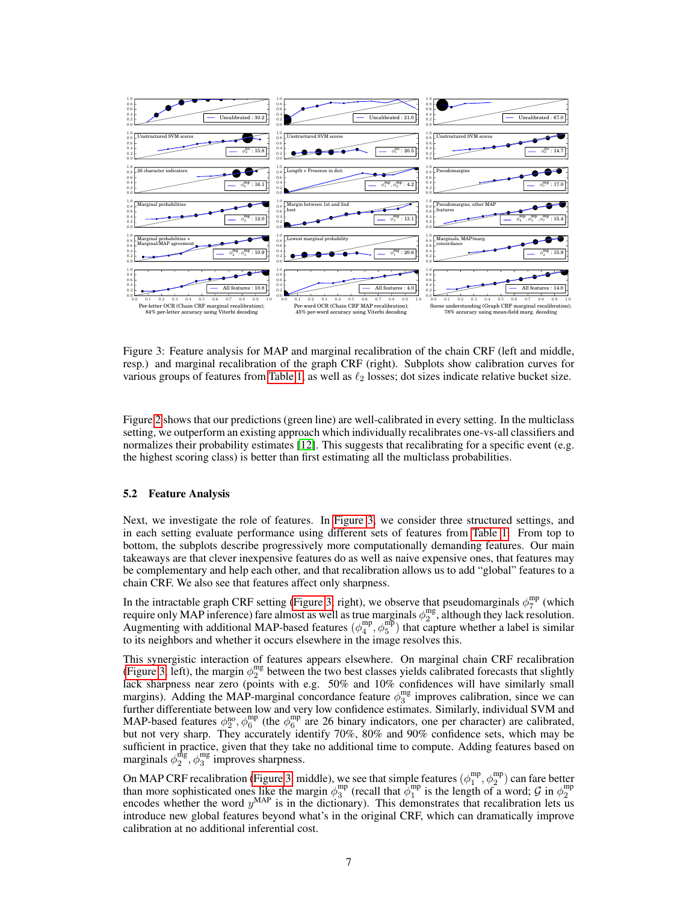

Figure 3: Feature analysis for MAP and marginal recalibration of the chain CRF (left and middle, resp.) and marginal recalibration of the graph CRF (right). Subplots show calibration curves for various groups of features from Table 1, as well as  $\ell_2$  losses; dot sizes indicate relative bucket size.

Figure 2 shows that our predictions (green line) are well-calibrated in every setting. In the multiclass setting, we outperform an existing approach which individually recalibrates one-vs-all classifiers and normalizes their probability estimates [12]. This suggests that recalibrating for a specific event (e.g. the highest scoring class) is better than first estimating all the multiclass probabilities.

#### 5.2 Feature Analysis

Next, we investigate the role of features. In Figure 3, we consider three structured settings, and in each setting evaluate performance using different sets of features from Table 1. From top to bottom, the subplots describe progressively more computationally demanding features. Our main takeaways are that clever inexpensive features do as well as naive expensive ones, that features may be complementary and help each other, and that recalibration allows us to add "global" features to a chain CRF. We also see that features affect only sharpness.

In the intractable graph CRF setting (Figure 3, right), we observe that pseudomarginals  $\phi_7^{\text{mp}}$  (which require only MAP inference) fare almost as well as true marginals  $\phi_2^{mg}$ , although they lack resolution. Augmenting with additional MAP-based features  $(\phi_4^{\rm mp}, \phi_5^{\rm mp})$  that capture whether a label is similar to its neighbors and whether it occurs elsewhere in the image resolves this.

This synergistic interaction of features appears elsewhere. On marginal chain CRF recalibration (Figure 3, left), the margin  $\phi_2^{\text{mg}}$  between the two best classes yields calibrated forecasts that slightly lack sharpness near zero (points with e.g. 50% and 10% confidences will have similarly small margins). Adding the MAP-marginal concordance feature  $\phi_3^{\text{mg}}$  improves calibration, since we can further differentiate between low and very low confidence estimates. Similarly, individual SVM and MAP-based features  $\phi_2^{\text{no}}, \phi_6^{\text{mp}}$  (the  $\phi_6^{\text{mp}}$  are 26 binary indicators, one per character) are calibrated, but not very sharp. They accurately identify 70%, 80% and 90% confidence sets, which may be sufficient in practice, given that they take no additional time to compute. Adding features based on marginals  $\phi_2^{\text{mg}}, \phi_3^{\text{mg}}$  improves sharpness.

On MAP CRF recalibration (Figure 3, middle), we see that simple features  $(\phi_1^{mp}, \phi_2^{mp})$  can fare better than more sophisticated ones like the margin  $\phi_3^{\text{mp}}$  (recall that  $\phi_1^{\text{mp}}$  is the length of a word;  $\mathcal G$  in  $\phi_2^{\text{mp}}$  encodes whether the word  $y^{\text{MAP}}$  is in the dictionary). This demonstrates that recalibr introduce new global features beyond what's in the original CRF, which can dramatically improve calibration at no additional inferential cost.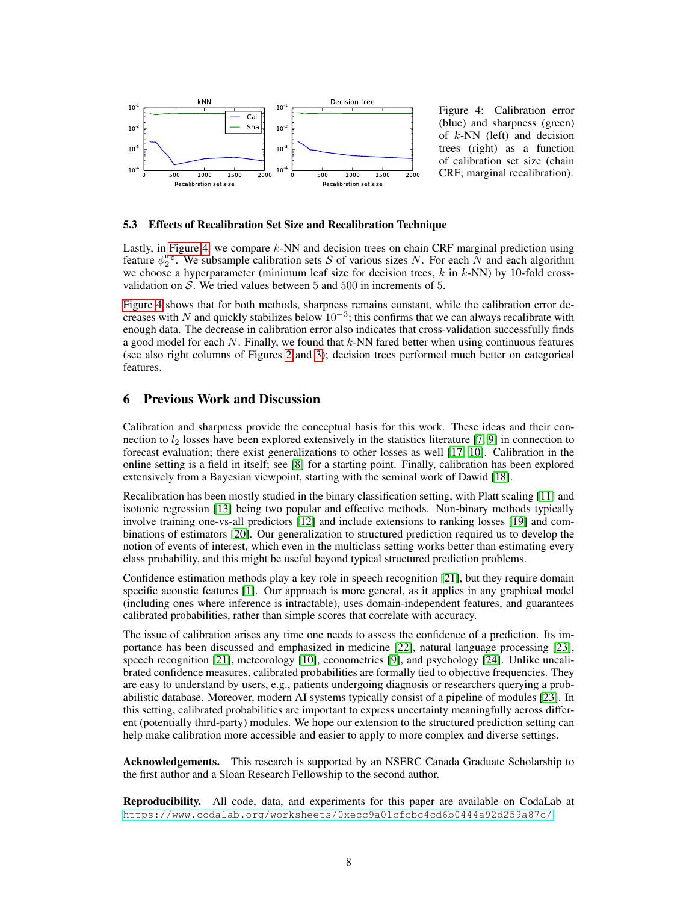

Figure 4: Calibration error (blue) and sharpness (green) of  $k$ -NN (left) and decision trees (right) as a function of calibration set size (chain CRF; marginal recalibration).

#### 5.3 Effects of Recalibration Set Size and Recalibration Technique

Lastly, in Figure 4, we compare  $k$ -NN and decision trees on chain CRF marginal prediction using feature  $\phi_2^{\text{mg}}$ . We subsample calibration sets S of various sizes N. For each N and each algorithm we choose a hyperparameter (minimum leaf size for decision trees,  $k$  in  $k$ -NN) by 10-fold crossvalidation on S. We tried values between 5 and 500 in increments of 5.

Figure 4 shows that for both methods, sharpness remains constant, while the calibration error decreases with N and quickly stabilizes below  $10^{-3}$ ; this confirms that we can always recalibrate with enough data. The decrease in calibration error also indicates that cross-validation successfully finds a good model for each  $N$ . Finally, we found that  $k$ -NN fared better when using continuous features (see also right columns of Figures 2 and 3); decision trees performed much better on categorical features.

## 6 Previous Work and Discussion

Calibration and sharpness provide the conceptual basis for this work. These ideas and their connection to  $l_2$  losses have been explored extensively in the statistics literature [7, 9] in connection to forecast evaluation; there exist generalizations to other losses as well [17, 10]. Calibration in the online setting is a field in itself; see [8] for a starting point. Finally, calibration has been explored extensively from a Bayesian viewpoint, starting with the seminal work of Dawid [18].

Recalibration has been mostly studied in the binary classification setting, with Platt scaling [11] and isotonic regression [13] being two popular and effective methods. Non-binary methods typically involve training one-vs-all predictors [12] and include extensions to ranking losses [19] and combinations of estimators [20]. Our generalization to structured prediction required us to develop the notion of events of interest, which even in the multiclass setting works better than estimating every class probability, and this might be useful beyond typical structured prediction problems.

Confidence estimation methods play a key role in speech recognition [21], but they require domain specific acoustic features [1]. Our approach is more general, as it applies in any graphical model (including ones where inference is intractable), uses domain-independent features, and guarantees calibrated probabilities, rather than simple scores that correlate with accuracy.

The issue of calibration arises any time one needs to assess the confidence of a prediction. Its importance has been discussed and emphasized in medicine [22], natural language processing [23], speech recognition [21], meteorology [10], econometrics [9], and psychology [24]. Unlike uncalibrated confidence measures, calibrated probabilities are formally tied to objective frequencies. They are easy to understand by users, e.g., patients undergoing diagnosis or researchers querying a probabilistic database. Moreover, modern AI systems typically consist of a pipeline of modules [23]. In this setting, calibrated probabilities are important to express uncertainty meaningfully across different (potentially third-party) modules. We hope our extension to the structured prediction setting can help make calibration more accessible and easier to apply to more complex and diverse settings.

Acknowledgements. This research is supported by an NSERC Canada Graduate Scholarship to the first author and a Sloan Research Fellowship to the second author.

Reproducibility. All code, data, and experiments for this paper are available on CodaLab at <https://www.codalab.org/worksheets/0xecc9a01cfcbc4cd6b0444a92d259a87c/>.